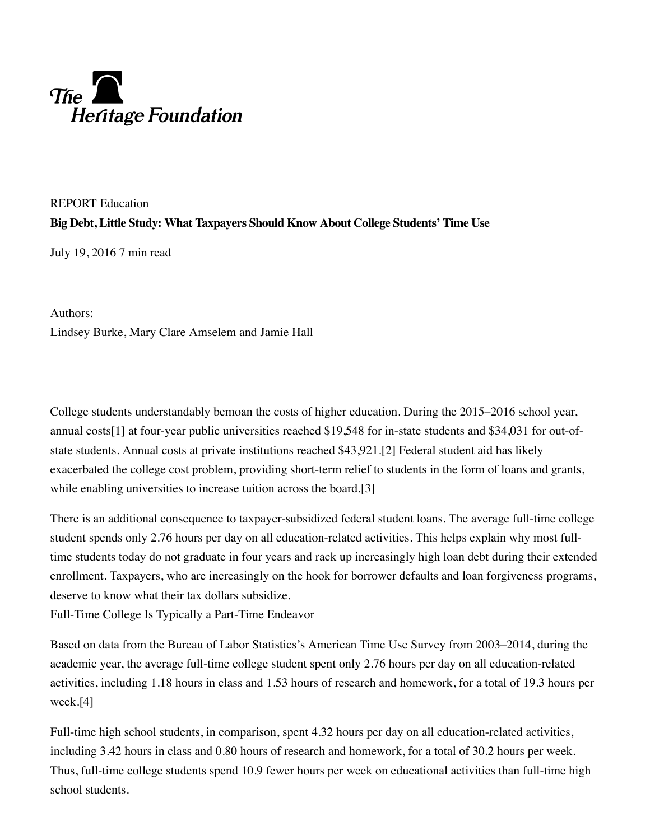## The **Calcular Setting Contract**<br>Heritage Foundation

REPORT Education **Big Debt, Little Study: What Taxpayers Should Know About College Students' Time Use**

July 19, 2016 7 min read

Lindsey Burke, Mary Clare Amselem and Jamie Hall Authors:

College students understandably bemoan the costs of higher education. During the 2015–2016 school year, annual costs[1] at four-year public universities reached \$19,548 for in-state students and \$34,031 for out-ofstate students. Annual costs at private institutions reached \$43,921.[2] Federal student aid has likely exacerbated the college cost problem, providing short-term relief to students in the form of loans and grants, while enabling universities to increase tuition across the board. [3]

There is an additional consequence to taxpayer-subsidized federal student loans. The average full-time college student spends only 2.76 hours per day on all education-related activities. This helps explain why most fulltime students today do not graduate in four years and rack up increasingly high loan debt during their extended enrollment. Taxpayers, who are increasingly on the hook for borrower defaults and loan forgiveness programs, deserve to know what their tax dollars subsidize.

Full-Time College Is Typically a Part-Time Endeavor

Based on data from the Bureau of Labor Statistics's American Time Use Survey from 2003–2014, during the academic year, the average full-time college student spent only 2.76 hours per day on all education-related activities, including 1.18 hours in class and 1.53 hours of research and homework, for a total of 19.3 hours per week. [4]

Full-time high school students, in comparison, spent 4.32 hours per day on all education-related activities, including 3.42 hours in class and 0.80 hours of research and homework, for a total of 30.2 hours per week. Thus, full-time college students spend 10.9 fewer hours per week on educational activities than full-time high school students.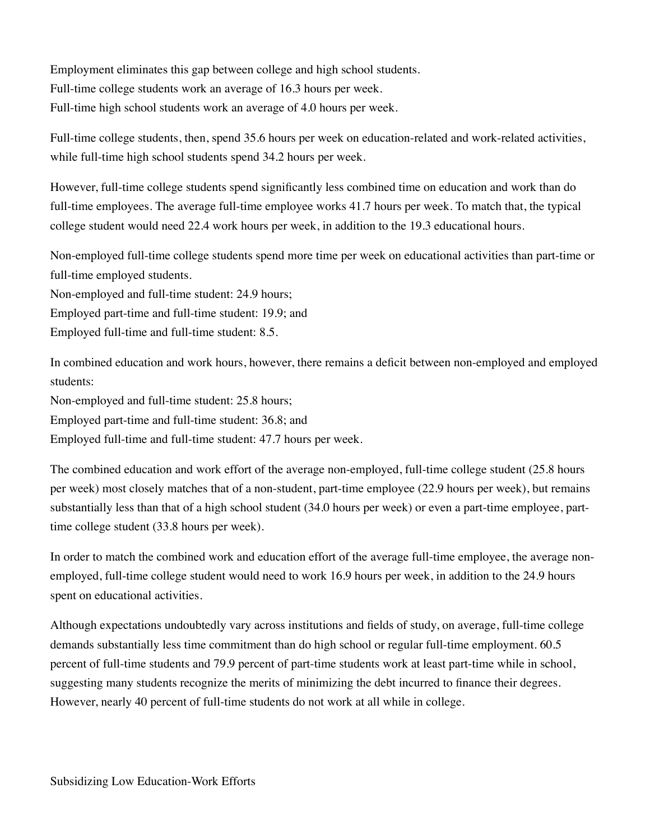Employment eliminates this gap between college and high school students. Full-time college students work an average of 16.3 hours per week. Full-time high school students work an average of 4.0 hours per week.

Full-time college students, then, spend 35.6 hours per week on education-related and work-related activities, while full-time high school students spend 34.2 hours per week.

However, full-time college students spend significantly less combined time on education and work than do full-time employees. The average full-time employee works 41.7 hours per week. To match that, the typical college student would need 22.4 work hours per week, in addition to the 19.3 educational hours.

Non-employed full-time college students spend more time per week on educational activities than part-time or full-time employed students.

Non-employed and full-time student: 24.9 hours;

Employed part-time and full-time student: 19.9; and

Employed full-time and full-time student: 8.5.

In combined education and work hours, however, there remains a deficit between non-employed and employed students:

Non-employed and full-time student: 25.8 hours;

Employed part-time and full-time student: 36.8; and

Employed full-time and full-time student: 47.7 hours per week.

The combined education and work effort of the average non-employed, full-time college student (25.8 hours per week) most closely matches that of a non-student, part-time employee (22.9 hours per week), but remains substantially less than that of a high school student (34.0 hours per week) or even a part-time employee, parttime college student (33.8 hours per week).

In order to match the combined work and education effort of the average full-time employee, the average nonemployed, full-time college student would need to work 16.9 hours per week, in addition to the 24.9 hours spent on educational activities.

Although expectations undoubtedly vary across institutions and fields of study, on average, full-time college demands substantially less time commitment than do high school or regular full-time employment. 60.5 percent of full-time students and 79.9 percent of part-time students work at least part-time while in school, suggesting many students recognize the merits of minimizing the debt incurred to finance their degrees. However, nearly 40 percent of full-time students do not work at all while in college.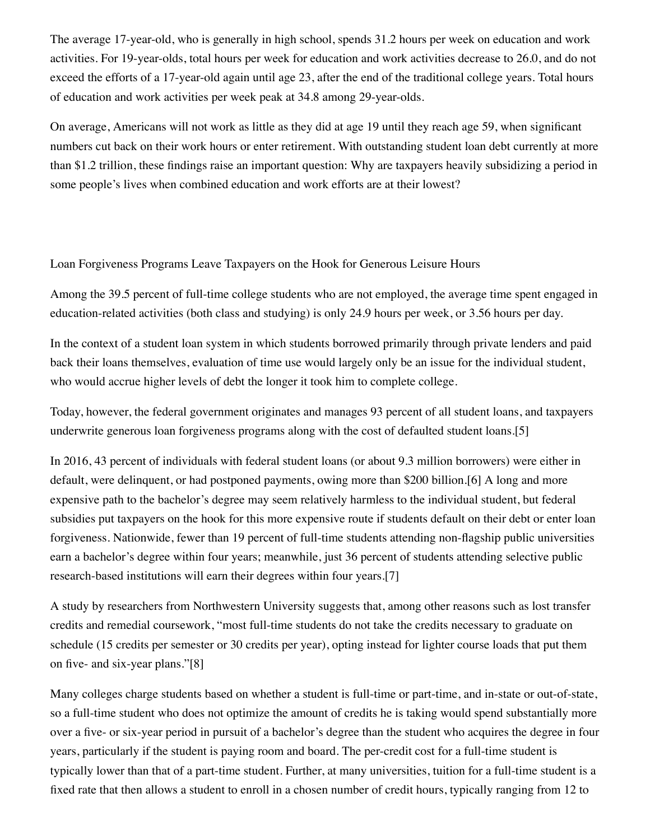The average 17-year-old, who is generally in high school, spends 31.2 hours per week on education and work activities. For 19-year-olds, total hours per week for education and work activities decrease to 26.0, and do not exceed the efforts of a 17-year-old again until age 23, after the end of the traditional college years. Total hours of education and work activities per week peak at 34.8 among 29-year-olds.

On average, Americans will not work as little as they did at age 19 until they reach age 59, when significant numbers cut back on their work hours or enter retirement. With outstanding student loan debt currently at more than \$1.2 trillion, these findings raise an important question: Why are taxpayers heavily subsidizing a period in some people's lives when combined education and work efforts are at their lowest?

Loan Forgiveness Programs Leave Taxpayers on the Hook for Generous Leisure Hours

Among the 39.5 percent of full-time college students who are not employed, the average time spent engaged in education-related activities (both class and studying) is only 24.9 hours per week, or 3.56 hours per day.

In the context of a student loan system in which students borrowed primarily through private lenders and paid back their loans themselves, evaluation of time use would largely only be an issue for the individual student, who would accrue higher levels of debt the longer it took him to complete college.

Today, however, the federal government originates and manages 93 percent of all student loans, and taxpayers underwrite generous loan forgiveness programs along with the cost of defaulted student loans.[5]

In 2016, 43 percent of individuals with federal student loans (or about 9.3 million borrowers) were either in default, were delinquent, or had postponed payments, owing more than \$200 billion.[6] A long and more expensive path to the bachelor's degree may seem relatively harmless to the individual student, but federal subsidies put taxpayers on the hook for this more expensive route if students default on their debt or enter loan forgiveness. Nationwide, fewer than 19 percent of full-time students attending non-flagship public universities earn a bachelor's degree within four years; meanwhile, just 36 percent of students attending selective public research-based institutions will earn their degrees within four years. [7]

A study by researchers from Northwestern University suggests that, among other reasons such as lost transfer credits and remedial coursework, "most full-time students do not take the credits necessary to graduate on schedule (15 credits per semester or 30 credits per year), opting instead for lighter course loads that put them on five- and six-year plans."[8]

Many colleges charge students based on whether a student is full-time or part-time, and in-state or out-of-state, so a full-time student who does not optimize the amount of credits he is taking would spend substantially more over a five- or six-year period in pursuit of a bachelor's degree than the student who acquires the degree in four years, particularly if the student is paying room and board. The per-credit cost for a full-time student is typically lower than that of a part-time student. Further, at many universities, tuition for a full-time student is a fixed rate that then allows a student to enroll in a chosen number of credit hours, typically ranging from 12 to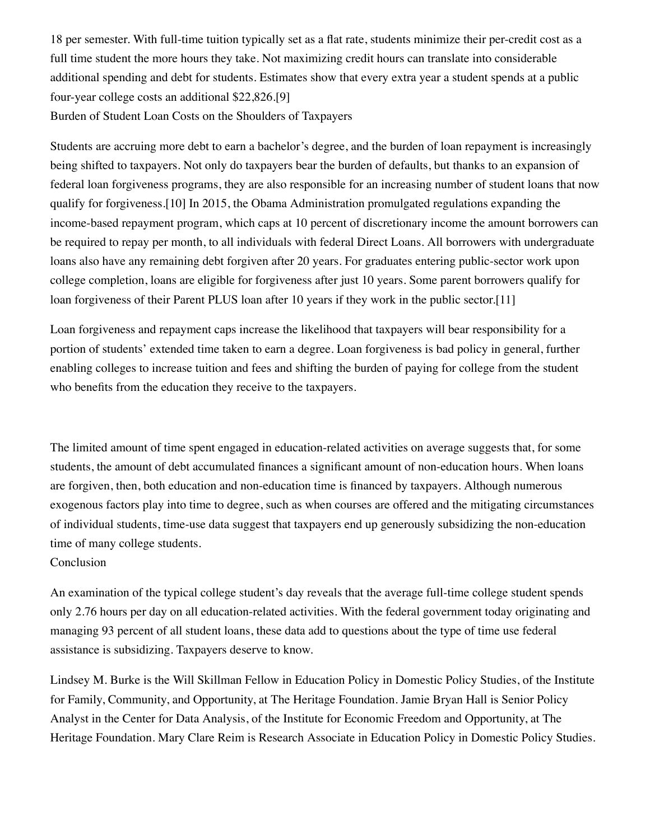18 per semester. With full-time tuition typically set as a flat rate, students minimize their per-credit cost as a full time student the more hours they take. Not maximizing credit hours can translate into considerable additional spending and debt for students. Estimates show that every extra year a student spends at a public four-year college costs an additional \$22,826.[9] Burden of Student Loan Costs on the Shoulders of Taxpayers

Students are accruing more debt to earn a bachelor's degree, and the burden of loan repayment is increasingly being shifted to taxpayers. Not only do taxpayers bear the burden of defaults, but thanks to an expansion of federal loan forgiveness programs, they are also responsible for an increasing number of student loans that now qualify for forgiveness.[10] In 2015, the Obama Administration promulgated regulations expanding the income-based repayment program, which caps at 10 percent of discretionary income the amount borrowers can be required to repay per month, to all individuals with federal Direct Loans. All borrowers with undergraduate loans also have any remaining debt forgiven after 20 years. For graduates entering public-sector work upon college completion, loans are eligible for forgiveness after just 10 years. Some parent borrowers qualify for loan forgiveness of their Parent PLUS loan after 10 years if they work in the public sector. [11]

Loan forgiveness and repayment caps increase the likelihood that taxpayers will bear responsibility for a portion of students' extended time taken to earn a degree. Loan forgiveness is bad policy in general, further enabling colleges to increase tuition and fees and shifting the burden of paying for college from the student who benefits from the education they receive to the taxpayers.

The limited amount of time spent engaged in education-related activities on average suggests that, for some students, the amount of debt accumulated finances a significant amount of non-education hours. When loans are forgiven, then, both education and non-education time is financed by taxpayers. Although numerous exogenous factors play into time to degree, such as when courses are offered and the mitigating circumstances of individual students, time-use data suggest that taxpayers end up generously subsidizing the non-education time of many college students.

Conclusion

An examination of the typical college student's day reveals that the average full-time college student spends only 2.76 hours per day on all education-related activities. With the federal government today originating and managing 93 percent of all student loans, these data add to questions about the type of time use federal assistance is subsidizing. Taxpayers deserve to know.

Lindsey M. Burke is the Will Skillman Fellow in Education Policy in Domestic Policy Studies, of the Institute for Family, Community, and Opportunity, at The Heritage Foundation. Jamie Bryan Hall is Senior Policy Analyst in the Center for Data Analysis, of the Institute for Economic Freedom and Opportunity, at The Heritage Foundation. Mary Clare Reim is Research Associate in Education Policy in Domestic Policy Studies.